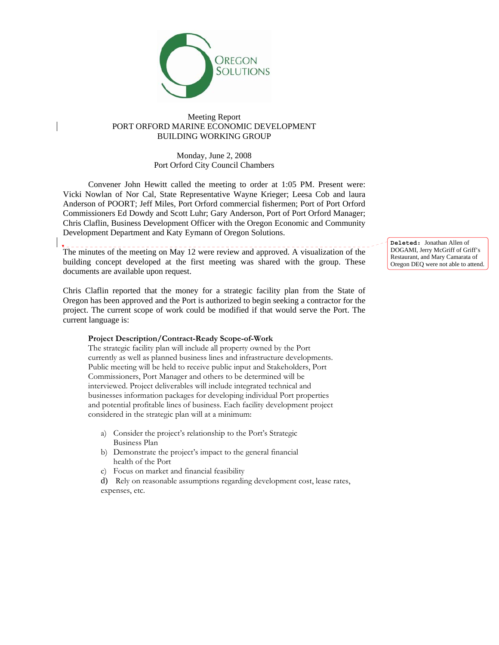

## Meeting Report PORT ORFORD MARINE ECONOMIC DEVELOPMENT BUILDING WORKING GROUP

## Monday, June 2, 2008 Port Orford City Council Chambers

 Convener John Hewitt called the meeting to order at 1:05 PM. Present were: Vicki Nowlan of Nor Cal, State Representative Wayne Krieger; Leesa Cob and laura Anderson of POORT; Jeff Miles, Port Orford commercial fishermen; Port of Port Orford Commissioners Ed Dowdy and Scott Luhr; Gary Anderson, Port of Port Orford Manager; Chris Claflin, Business Development Officer with the Oregon Economic and Community Development Department and Katy Eymann of Oregon Solutions.

The minutes of the meeting on May 12 were review and approved. A visualization of the building concept developed at the first meeting was shared with the group. These documents are available upon request.

Chris Claflin reported that the money for a strategic facility plan from the State of Oregon has been approved and the Port is authorized to begin seeking a contractor for the project. The current scope of work could be modified if that would serve the Port. The current language is:

## **Project Description/Contract-Ready Scope-of-Work**

The strategic facility plan will include all property owned by the Port currently as well as planned business lines and infrastructure developments. Public meeting will be held to receive public input and Stakeholders, Port Commissioners, Port Manager and others to be determined will be interviewed. Project deliverables will include integrated technical and businesses information packages for developing individual Port properties and potential profitable lines of business. Each facility development project considered in the strategic plan will at a minimum:

- a) Consider the project's relationship to the Port's Strategic Business Plan
- b) Demonstrate the project's impact to the general financial health of the Port
- c) Focus on market and financial feasibility

d) Rely on reasonable assumptions regarding development cost, lease rates, expenses, etc.

**Deleted:** Jonathan Allen of DOGAMI, Jerry McGriff of Griff's Restaurant, and Mary Camarata of Oregon DEQ were not able to attend.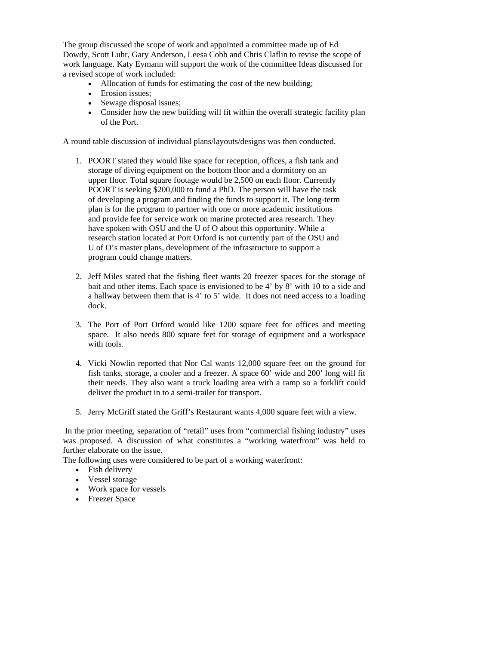The group discussed the scope of work and appointed a committee made up of Ed Dowdy, Scott Luhr, Gary Anderson, Leesa Cobb and Chris Claflin to revise the scope of work language. Katy Eymann will support the work of the committee Ideas discussed for a revised scope of work included:

- Allocation of funds for estimating the cost of the new building;
- Erosion issues:
- Sewage disposal issues;
- Consider how the new building will fit within the overall strategic facility plan of the Port.

A round table discussion of individual plans/layouts/designs was then conducted.

- 1. POORT stated they would like space for reception, offices, a fish tank and storage of diving equipment on the bottom floor and a dormitory on an upper floor. Total square footage would be 2,500 on each floor. Currently POORT is seeking \$200,000 to fund a PhD. The person will have the task of developing a program and finding the funds to support it. The long-term plan is for the program to partner with one or more academic institutions and provide fee for service work on marine protected area research. They have spoken with OSU and the U of O about this opportunity. While a research station located at Port Orford is not currently part of the OSU and U of O's master plans, development of the infrastructure to support a program could change matters.
- 2. Jeff Miles stated that the fishing fleet wants 20 freezer spaces for the storage of bait and other items. Each space is envisioned to be 4' by 8' with 10 to a side and a hallway between them that is 4' to 5' wide. It does not need access to a loading dock.
- 3. The Port of Port Orford would like 1200 square feet for offices and meeting space. It also needs 800 square feet for storage of equipment and a workspace with tools.
- 4. Vicki Nowlin reported that Nor Cal wants 12,000 square feet on the ground for fish tanks, storage, a cooler and a freezer. A space 60' wide and 200' long will fit their needs. They also want a truck loading area with a ramp so a forklift could deliver the product in to a semi-trailer for transport.
- 5. Jerry McGriff stated the Griff's Restaurant wants 4,000 square feet with a view.

 In the prior meeting, separation of "retail" uses from "commercial fishing industry" uses was proposed. A discussion of what constitutes a "working waterfront" was held to further elaborate on the issue.

The following uses were considered to be part of a working waterfront:

- Fish delivery
- Vessel storage
- Work space for vessels
- Freezer Space